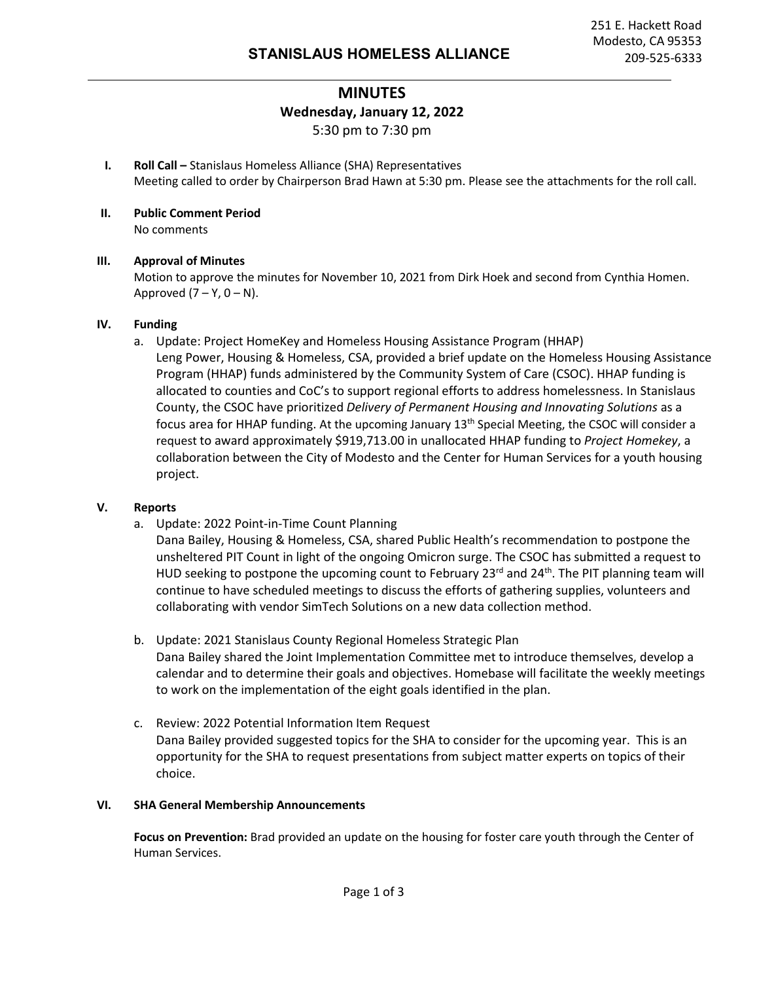## **MINUTES Wednesday, January 12, 2022** 5:30 pm to 7:30 pm

- **I. Roll Call –** Stanislaus Homeless Alliance (SHA) Representatives Meeting called to order by Chairperson Brad Hawn at 5:30 pm. Please see the attachments for the roll call.
- **II. Public Comment Period** No comments

#### **III. Approval of Minutes**

Motion to approve the minutes for November 10, 2021 from Dirk Hoek and second from Cynthia Homen. Approved  $(7 - Y, 0 - N)$ .

#### **IV. Funding**

a. Update: Project HomeKey and Homeless Housing Assistance Program (HHAP) Leng Power, Housing & Homeless, CSA, provided a brief update on the Homeless Housing Assistance Program (HHAP) funds administered by the Community System of Care (CSOC). HHAP funding is allocated to counties and CoC's to support regional efforts to address homelessness. In Stanislaus County, the CSOC have prioritized *Delivery of Permanent Housing and Innovating Solutions* as a focus area for HHAP funding. At the upcoming January 13th Special Meeting, the CSOC will consider a request to award approximately \$919,713.00 in unallocated HHAP funding to *Project Homekey*, a collaboration between the City of Modesto and the Center for Human Services for a youth housing project.

#### **V. Reports**

a. Update: 2022 Point-in-Time Count Planning

Dana Bailey, Housing & Homeless, CSA, shared Public Health's recommendation to postpone the unsheltered PIT Count in light of the ongoing Omicron surge. The CSOC has submitted a request to HUD seeking to postpone the upcoming count to February 23<sup>rd</sup> and 24<sup>th</sup>. The PIT planning team will continue to have scheduled meetings to discuss the efforts of gathering supplies, volunteers and collaborating with vendor SimTech Solutions on a new data collection method.

- b. Update: 2021 Stanislaus County Regional Homeless Strategic Plan Dana Bailey shared the Joint Implementation Committee met to introduce themselves, develop a calendar and to determine their goals and objectives. Homebase will facilitate the weekly meetings to work on the implementation of the eight goals identified in the plan.
- c. Review: 2022 Potential Information Item Request Dana Bailey provided suggested topics for the SHA to consider for the upcoming year. This is an opportunity for the SHA to request presentations from subject matter experts on topics of their choice.

#### **VI. SHA General Membership Announcements**

**Focus on Prevention:** Brad provided an update on the housing for foster care youth through the Center of Human Services.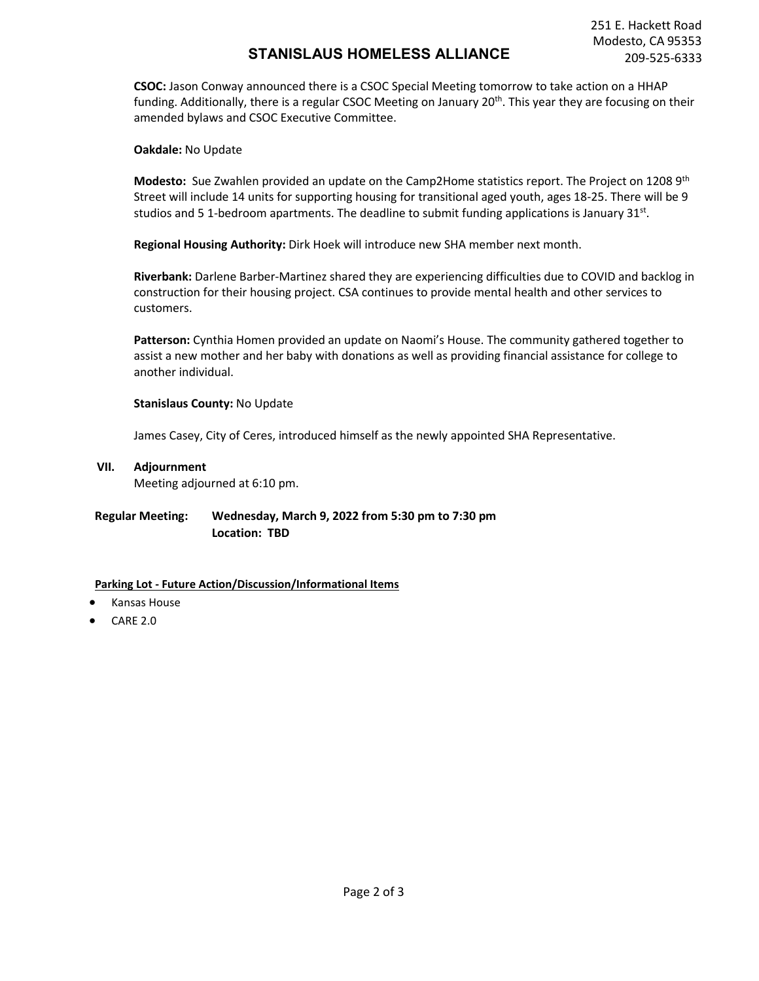## **STANISLAUS HOMELESS ALLIANCE** 209-525-6333

**CSOC:** Jason Conway announced there is a CSOC Special Meeting tomorrow to take action on a HHAP funding. Additionally, there is a regular CSOC Meeting on January 20<sup>th</sup>. This year they are focusing on their amended bylaws and CSOC Executive Committee.

**Oakdale:** No Update

**Modesto:** Sue Zwahlen provided an update on the Camp2Home statistics report. The Project on 1208 9th Street will include 14 units for supporting housing for transitional aged youth, ages 18-25. There will be 9 studios and 5 1-bedroom apartments. The deadline to submit funding applications is January  $31<sup>st</sup>$ .

**Regional Housing Authority:** Dirk Hoek will introduce new SHA member next month.

**Riverbank:** Darlene Barber-Martinez shared they are experiencing difficulties due to COVID and backlog in construction for their housing project. CSA continues to provide mental health and other services to customers.

**Patterson:** Cynthia Homen provided an update on Naomi's House. The community gathered together to assist a new mother and her baby with donations as well as providing financial assistance for college to another individual.

#### **Stanislaus County:** No Update

James Casey, City of Ceres, introduced himself as the newly appointed SHA Representative.

**VII. Adjournment** 

Meeting adjourned at 6:10 pm.

### **Regular Meeting: Wednesday, March 9, 2022 from 5:30 pm to 7:30 pm Location: TBD**

#### **Parking Lot - Future Action/Discussion/Informational Items**

- Kansas House
- CARE 2.0